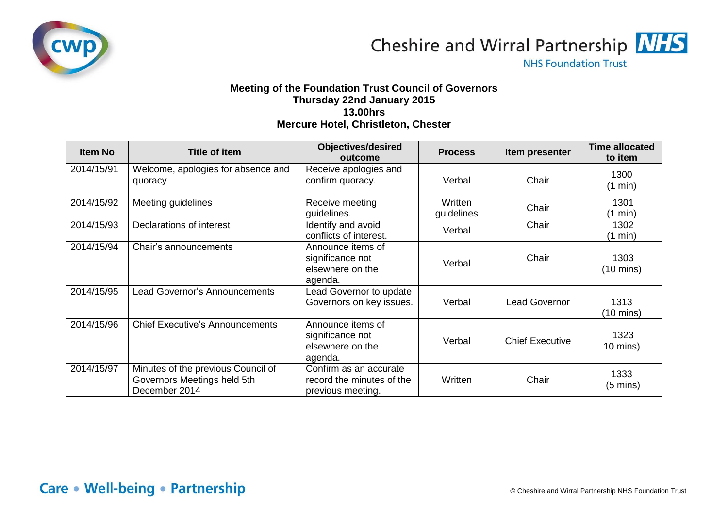



**NHS Foundation Trust** 

## **Meeting of the Foundation Trust Council of Governors Thursday 22nd January 2015 13.00hrs Mercure Hotel, Christleton, Chester**

| <b>Item No</b> | Title of item                                                                      | <b>Objectives/desired</b><br>outcome                                     | <b>Process</b>        | Item presenter         | <b>Time allocated</b><br>to item |
|----------------|------------------------------------------------------------------------------------|--------------------------------------------------------------------------|-----------------------|------------------------|----------------------------------|
| 2014/15/91     | Welcome, apologies for absence and<br>quoracy                                      | Receive apologies and<br>confirm quoracy.                                | Verbal                | Chair                  | 1300<br>(1 min)                  |
| 2014/15/92     | Meeting guidelines                                                                 | Receive meeting<br>quidelines.                                           | Written<br>guidelines | Chair                  | 1301<br>(1 min)                  |
| 2014/15/93     | Declarations of interest                                                           | Identify and avoid<br>conflicts of interest.                             | Verbal                | Chair                  | 1302<br>$(1 \text{ min})$        |
| 2014/15/94     | Chair's announcements                                                              | Announce items of<br>significance not<br>elsewhere on the<br>agenda.     | Verbal                | Chair                  | 1303<br>$(10 \text{ mins})$      |
| 2014/15/95     | Lead Governor's Announcements                                                      | Lead Governor to update<br>Governors on key issues.                      | Verbal                | <b>Lead Governor</b>   | 1313<br>$(10 \text{ mins})$      |
| 2014/15/96     | <b>Chief Executive's Announcements</b>                                             | Announce items of<br>significance not<br>elsewhere on the<br>agenda.     | Verbal                | <b>Chief Executive</b> | 1323<br>$10 \text{ mins}$ )      |
| 2014/15/97     | Minutes of the previous Council of<br>Governors Meetings held 5th<br>December 2014 | Confirm as an accurate<br>record the minutes of the<br>previous meeting. | Written               | Chair                  | 1333<br>$(5 \text{ mins})$       |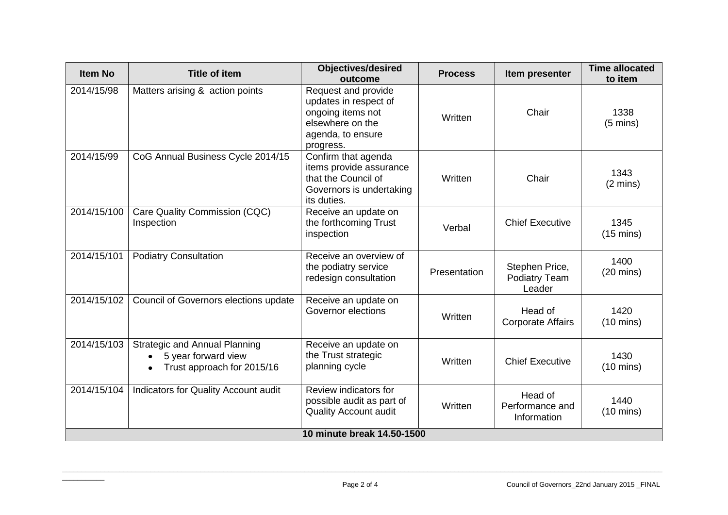| <b>Item No</b>             | <b>Title of item</b>                                                                      | <b>Objectives/desired</b><br>outcome                                                                                    | <b>Process</b> | Item presenter                            | <b>Time allocated</b><br>to item |
|----------------------------|-------------------------------------------------------------------------------------------|-------------------------------------------------------------------------------------------------------------------------|----------------|-------------------------------------------|----------------------------------|
| 2014/15/98                 | Matters arising & action points                                                           | Request and provide<br>updates in respect of<br>ongoing items not<br>elsewhere on the<br>agenda, to ensure<br>progress. | Written        | Chair                                     | 1338<br>$(5 \text{ mins})$       |
| 2014/15/99                 | CoG Annual Business Cycle 2014/15                                                         | Confirm that agenda<br>items provide assurance<br>that the Council of<br>Governors is undertaking<br>its duties.        | Written        | Chair                                     | 1343<br>$(2 \text{ mins})$       |
| 2014/15/100                | Care Quality Commission (CQC)<br>Inspection                                               | Receive an update on<br>the forthcoming Trust<br>inspection                                                             | Verbal         | <b>Chief Executive</b>                    | 1345<br>$(15 \text{ mins})$      |
| 2014/15/101                | <b>Podiatry Consultation</b>                                                              | Receive an overview of<br>the podiatry service<br>redesign consultation                                                 | Presentation   | Stephen Price,<br>Podiatry Team<br>Leader | 1400<br>$(20 \text{ mins})$      |
| 2014/15/102                | Council of Governors elections update                                                     | Receive an update on<br>Governor elections                                                                              | Written        | Head of<br><b>Corporate Affairs</b>       | 1420<br>$(10 \text{ mins})$      |
| 2014/15/103                | <b>Strategic and Annual Planning</b><br>5 year forward view<br>Trust approach for 2015/16 | Receive an update on<br>the Trust strategic<br>planning cycle                                                           | Written        | <b>Chief Executive</b>                    | 1430<br>$(10 \text{ mins})$      |
| 2014/15/104                | Indicators for Quality Account audit                                                      | Review indicators for<br>possible audit as part of<br><b>Quality Account audit</b>                                      | Written        | Head of<br>Performance and<br>Information | 1440<br>$(10 \text{ mins})$      |
| 10 minute break 14.50-1500 |                                                                                           |                                                                                                                         |                |                                           |                                  |

 $\overline{\phantom{a}}$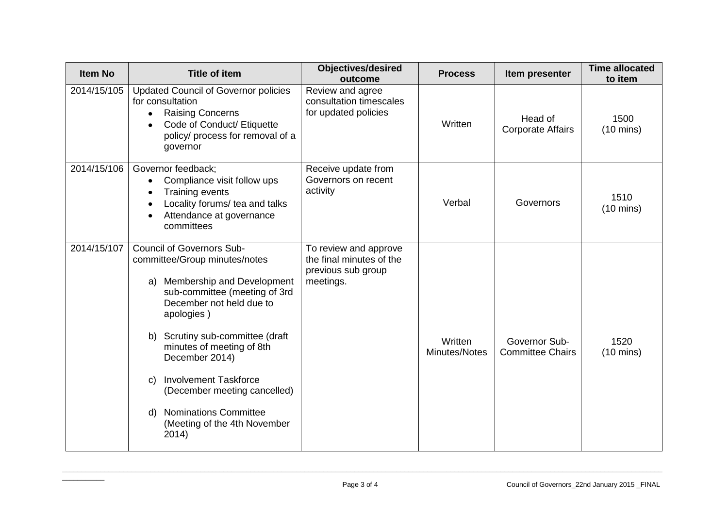| <b>Item No</b> | <b>Title of item</b>                                                                                                                                                                                                                                                                                                                                                                                                        | <b>Objectives/desired</b><br>outcome                                                 | <b>Process</b>           | Item presenter                           | <b>Time allocated</b><br>to item |
|----------------|-----------------------------------------------------------------------------------------------------------------------------------------------------------------------------------------------------------------------------------------------------------------------------------------------------------------------------------------------------------------------------------------------------------------------------|--------------------------------------------------------------------------------------|--------------------------|------------------------------------------|----------------------------------|
| 2014/15/105    | <b>Updated Council of Governor policies</b><br>for consultation<br><b>Raising Concerns</b><br>Code of Conduct/ Etiquette<br>policy/ process for removal of a<br>governor                                                                                                                                                                                                                                                    | Review and agree<br>consultation timescales<br>for updated policies                  | Written                  | Head of<br><b>Corporate Affairs</b>      | 1500<br>$(10 \text{ mins})$      |
| 2014/15/106    | Governor feedback;<br>Compliance visit follow ups<br>Training events<br>Locality forums/ tea and talks<br>Attendance at governance<br>committees                                                                                                                                                                                                                                                                            | Receive update from<br>Governors on recent<br>activity                               | Verbal                   | Governors                                | 1510<br>$(10 \text{ mins})$      |
| 2014/15/107    | <b>Council of Governors Sub-</b><br>committee/Group minutes/notes<br>Membership and Development<br>a)<br>sub-committee (meeting of 3rd<br>December not held due to<br>apologies)<br>Scrutiny sub-committee (draft<br>b)<br>minutes of meeting of 8th<br>December 2014)<br><b>Involvement Taskforce</b><br>C)<br>(December meeting cancelled)<br><b>Nominations Committee</b><br>d)<br>(Meeting of the 4th November<br>2014) | To review and approve<br>the final minutes of the<br>previous sub group<br>meetings. | Written<br>Minutes/Notes | Governor Sub-<br><b>Committee Chairs</b> | 1520<br>$(10 \text{ mins})$      |

 $\overline{\phantom{a}}$